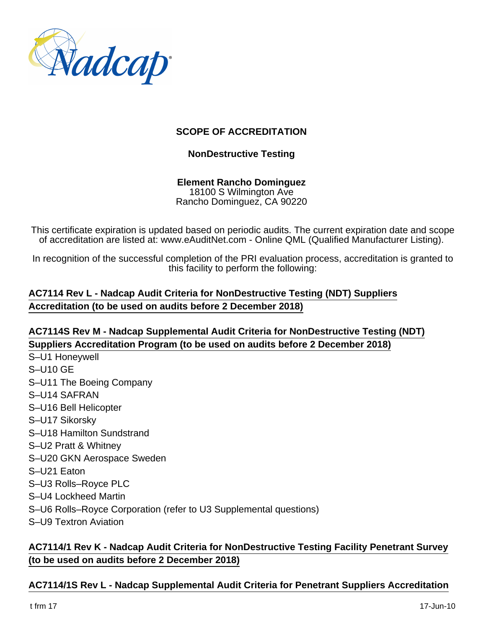

#### **SCOPE OF ACCREDITATION**

#### **NonDestructive Testing**

#### **Element Rancho Dominguez** 18100 S Wilmington Ave Rancho Dominguez, CA 90220

This certificate expiration is updated based on periodic audits. The current expiration date and scope of accreditation are listed at: www.eAuditNet.com - Online QML (Qualified Manufacturer Listing).

In recognition of the successful completion of the PRI evaluation process, accreditation is granted to this facility to perform the following:

#### **AC7114 Rev L - Nadcap Audit Criteria for NonDestructive Testing (NDT) Suppliers Accreditation (to be used on audits before 2 December 2018)**

#### **AC7114S Rev M - Nadcap Supplemental Audit Criteria for NonDestructive Testing (NDT) Suppliers Accreditation Program (to be used on audits before 2 December 2018)**

- S–U1 Honeywell
- S–U10 GE
- S–U11 The Boeing Company
- S–U14 SAFRAN
- S–U16 Bell Helicopter
- S–U17 Sikorsky
- S–U18 Hamilton Sundstrand
- S–U2 Pratt & Whitney
- S–U20 GKN Aerospace Sweden
- S–U21 Eaton
- S–U3 Rolls–Royce PLC
- S–U4 Lockheed Martin
- S–U6 Rolls–Royce Corporation (refer to U3 Supplemental questions)
- S–U9 Textron Aviation

#### **AC7114/1 Rev K - Nadcap Audit Criteria for NonDestructive Testing Facility Penetrant Survey (to be used on audits before 2 December 2018)**

### **AC7114/1S Rev L - Nadcap Supplemental Audit Criteria for Penetrant Suppliers Accreditation**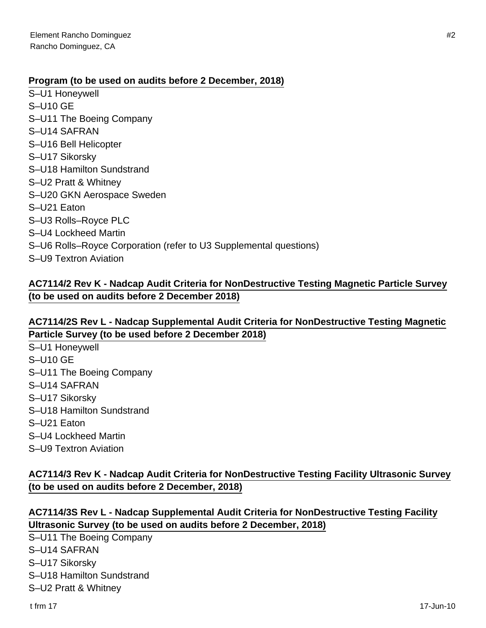#### **Program (to be used on audits before 2 December, 2018)**

- S–U1 Honeywell
- S–U10 GE
- S–U11 The Boeing Company
- S–U14 SAFRAN
- S–U16 Bell Helicopter
- S–U17 Sikorsky
- S–U18 Hamilton Sundstrand
- S–U2 Pratt & Whitney
- S–U20 GKN Aerospace Sweden
- S–U21 Eaton
- S–U3 Rolls–Royce PLC
- S–U4 Lockheed Martin
- S–U6 Rolls–Royce Corporation (refer to U3 Supplemental questions)
- S–U9 Textron Aviation

#### **AC7114/2 Rev K - Nadcap Audit Criteria for NonDestructive Testing Magnetic Particle Survey (to be used on audits before 2 December 2018)**

#### **AC7114/2S Rev L - Nadcap Supplemental Audit Criteria for NonDestructive Testing Magnetic Particle Survey (to be used before 2 December 2018)**

- S–U1 Honeywell S–U10 GE S–U11 The Boeing Company S–U14 SAFRAN S–U17 Sikorsky S–U18 Hamilton Sundstrand S–U21 Eaton S–U4 Lockheed Martin
- S–U9 Textron Aviation

#### **AC7114/3 Rev K - Nadcap Audit Criteria for NonDestructive Testing Facility Ultrasonic Survey (to be used on audits before 2 December, 2018)**

#### **AC7114/3S Rev L - Nadcap Supplemental Audit Criteria for NonDestructive Testing Facility Ultrasonic Survey (to be used on audits before 2 December, 2018)**

S–U11 The Boeing Company

- S–U14 SAFRAN
- S–U17 Sikorsky
- S–U18 Hamilton Sundstrand

S–U2 Pratt & Whitney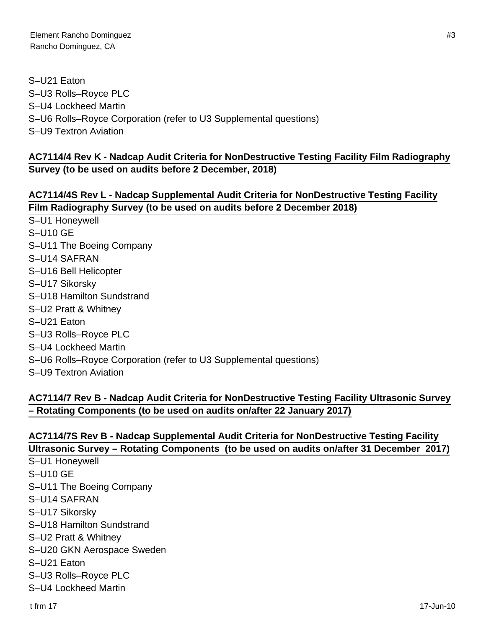S–U21 Eaton S–U3 Rolls–Royce PLC S–U4 Lockheed Martin S–U6 Rolls–Royce Corporation (refer to U3 Supplemental questions) S–U9 Textron Aviation

#### **AC7114/4 Rev K - Nadcap Audit Criteria for NonDestructive Testing Facility Film Radiography Survey (to be used on audits before 2 December, 2018)**

### **AC7114/4S Rev L - Nadcap Supplemental Audit Criteria for NonDestructive Testing Facility Film Radiography Survey (to be used on audits before 2 December 2018)**

- S–U1 Honeywell S–U10 GE
- S–U11 The Boeing Company
- S–U14 SAFRAN
- S–U16 Bell Helicopter
- S–U17 Sikorsky
- S–U18 Hamilton Sundstrand
- S–U2 Pratt & Whitney
- S–U21 Eaton
- S–U3 Rolls–Royce PLC
- S–U4 Lockheed Martin
- S–U6 Rolls–Royce Corporation (refer to U3 Supplemental questions)
- S–U9 Textron Aviation

## **AC7114/7 Rev B - Nadcap Audit Criteria for NonDestructive Testing Facility Ultrasonic Survey – Rotating Components (to be used on audits on/after 22 January 2017)**

### **AC7114/7S Rev B - Nadcap Supplemental Audit Criteria for NonDestructive Testing Facility Ultrasonic Survey – Rotating Components (to be used on audits on/after 31 December 2017)**

- S–U1 Honeywell
- S–U10 GE
- S–U11 The Boeing Company
- S–U14 SAFRAN
- S–U17 Sikorsky
- S–U18 Hamilton Sundstrand
- S–U2 Pratt & Whitney
- S–U20 GKN Aerospace Sweden
- S–U21 Eaton
- S–U3 Rolls–Royce PLC
- S–U4 Lockheed Martin